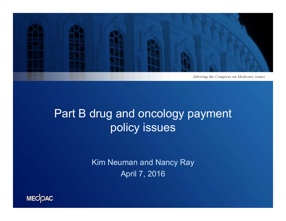

## Part B drug and oncology payment policy issues

Kim Neuman and Nancy Ray April 7, 2016

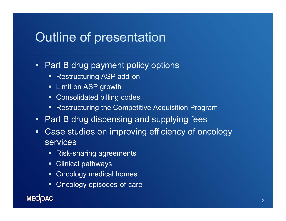#### Outline of presentation

#### $\blacksquare$ Part B drug payment policy options

- **Restructuring ASP add-on**
- **E** Limit on ASP growth
- **E** Consolidated billing codes
- Restructuring the Competitive Acquisition Program
- $\blacksquare$ Part B drug dispensing and supplying fees
- $\blacksquare$  Case studies on improving efficiency of oncology services
	- Risk-sharing agreements
	- Clinical pathways
	- **Oncology medical homes**
	- **DIE-** Oncology episodes-of-care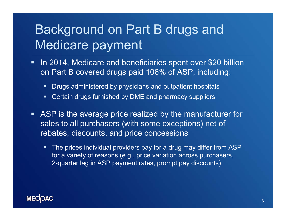# Background on Part B drugs and Medicare payment

- $\blacksquare$  In 2014, Medicare and beneficiaries spent over \$20 billion on Part B covered drugs paid 106% of ASP, including:
	- Ξ Drugs administered by physicians and outpatient hospitals
	- $\blacksquare$ Certain drugs furnished by DME and pharmacy suppliers
- ASP is the average price realized by the manufacturer for sales to all purchasers (with some exceptions) net of rebates, discounts, and price concessions
	- $\blacksquare$  The prices individual providers pay for a drug may differ from ASP for a variety of reasons (e.g., price variation across purchasers, 2-quarter lag in ASP payment rates, prompt pay discounts)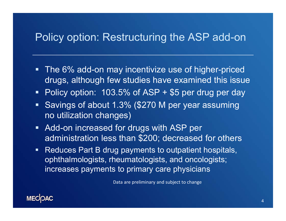#### Policy option: Restructuring the ASP add-on

- **The 6% add-on may incentivize use of higher-priced** drugs, although few studies have examined this issue
- Policy option: 103.5% of ASP + \$5 per drug per day
- **Savings of about 1.3% (\$270 M per year assuming** no utilization changes)
- **Add-on increased for drugs with ASP per** administration less than \$200; decreased for others
- $\blacksquare$  Reduces Part B drug payments to outpatient hospitals, ophthalmologists, rheumatologists, and oncologists; increases payments to primary care physicians

Data are preliminary and subject to change

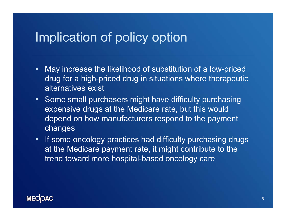#### Implication of policy option

- $\blacksquare$  May increase the likelihood of substitution of a low-priced drug for a high-priced drug in situations where therapeutic alternatives exist
- **Some small purchasers might have difficulty purchasing** expensive drugs at the Medicare rate, but this would depend on how manufacturers respond to the payment changes
- **If some oncology practices had difficulty purchasing drugs** at the Medicare payment rate, it might contribute to the trend toward more hospital-based oncology care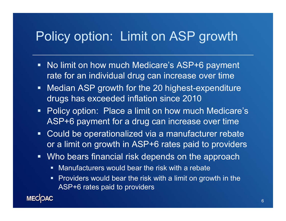## Policy option: Limit on ASP growth

- $\blacksquare$  No limit on how much Medicare's ASP+6 payment rate for an individual drug can increase over time
- $\blacksquare$  Median ASP growth for the 20 highest-expenditure drugs has exceeded inflation since 2010
- **Policy option: Place a limit on how much Medicare's** ASP+6 payment for a drug can increase over time
- $\blacksquare$  Could be operationalized via a manufacturer rebate or a limit on growth in ASP+6 rates paid to providers
- П Who bears financial risk depends on the approach
	- $\blacksquare$ Manufacturers would bear the risk with a rebate
	- **Providers would bear the risk with a limit on growth in the** ASP+6 rates paid to providers

**MECOAC**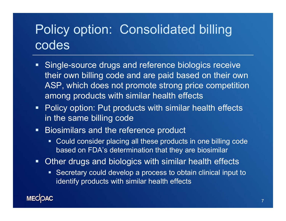# Policy option: Consolidated billing codes

- $\blacksquare$  Single-source drugs and reference biologics receive their own billing code and are paid based on their own ASP, which does not promote strong price competition among products with similar health effects
- **Policy option: Put products with similar health effects** in the same billing code
- $\blacksquare$  Biosimilars and the reference product
	- Could consider placing all these products in one billing code based on FDA's determination that they are biosimilar
- **Other drugs and biologics with similar health effects** 
	- Secretary could develop a process to obtain clinical input to identify products with similar health effects

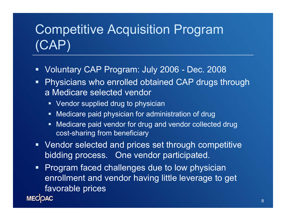# Competitive Acquisition Program (CAP)

- Voluntary CAP Program: July 2006 Dec. 2008
- $\blacksquare$  Physicians who enrolled obtained CAP drugs through a Medicare selected vendor
	- Vendor supplied drug to physician
	- Medicare paid physician for administration of drug
	- $\blacksquare$  Medicare paid vendor for drug and vendor collected drug cost-sharing from beneficiary
- **Vendor selected and prices set through competitive** bidding process. One vendor participated.
- Program faced challenges due to low physician  $\blacksquare$ enrollment and vendor having little leverage to get favorable prices **MECOAC**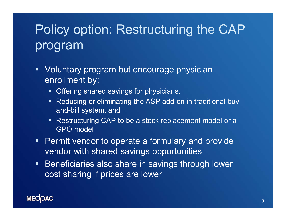# Policy option: Restructuring the CAP program

- **Voluntary program but encourage physician** enrollment by:
	- **Dealleng** shared savings for physicians,
	- Reducing or eliminating the ASP add-on in traditional buyand-bill system, and
	- Restructuring CAP to be a stock replacement model or a GPO model
- $\blacksquare$  Permit vendor to operate a formulary and provide vendor with shared savings opportunities
- **Beneficiaries also share in savings through lower** cost sharing if prices are lower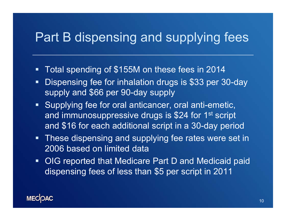## Part B dispensing and supplying fees

- $\blacksquare$ Total spending of \$155M on these fees in 2014
- $\blacksquare$  Dispensing fee for inhalation drugs is \$33 per 30-day supply and \$66 per 90-day supply
- **Supplying fee for oral anticancer, oral anti-emetic,** and immunosuppressive drugs is \$24 for 1<sup>st</sup> script and \$16 for each additional script in a 30-day period
- **These dispensing and supplying fee rates were set in** 2006 based on limited data
- **OIG reported that Medicare Part D and Medicaid paid** dispensing fees of less than \$5 per script in 2011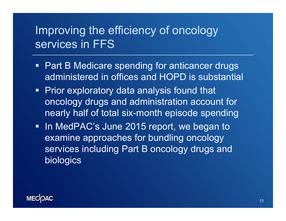#### Improving the efficiency of oncology services in FFS

- **Part B Medicare spending for anticancer drugs** administered in offices and HOPD is substantial
- **Prior exploratory data analysis found that** oncology drugs and administration account for nearly half of total six-month episode spending
- In MedPAC's June 2015 report, we began to examine approaches for bundling oncology services including Part B oncology drugs and biologics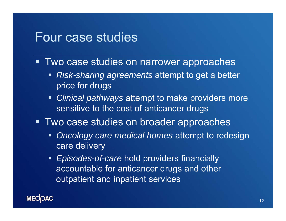#### Four case studies

- **Two case studies on narrower approaches** 
	- *Risk-sharing agreements* attempt to get a better price for drugs
	- **Clinical pathways attempt to make providers more** sensitive to the cost of anticancer drugs
- **Two case studies on broader approaches** 
	- *Oncology care medical homes* attempt to redesign care delivery
	- *Episodes-of-care* hold providers financially accountable for anticancer drugs and other outpatient and inpatient services

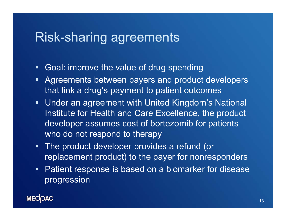#### Risk-sharing agreements

- $\blacksquare$ Goal: improve the value of drug spending
- $\blacksquare$  Agreements between payers and product developers that link a drug's payment to patient outcomes
- **Under an agreement with United Kingdom's National** Institute for Health and Care Excellence, the product developer assumes cost of bortezomib for patients who do not respond to therapy
- **The product developer provides a refund (or** replacement product) to the payer for nonresponders
- **Patient response is based on a biomarker for disease** progression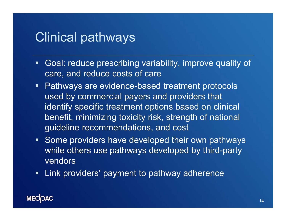#### Clinical pathways

- Goal: reduce prescribing variability, improve quality of care, and reduce costs of care
- **Pathways are evidence-based treatment protocols** used by commercial payers and providers that identify specific treatment options based on clinical benefit, minimizing toxicity risk, strength of national guideline recommendations, and cost
- **Some providers have developed their own pathways** while others use pathways developed by third-party vendors
- $\blacksquare$ Link providers' payment to pathway adherence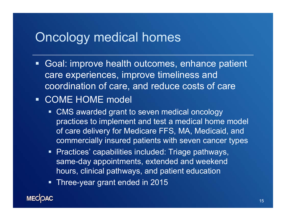#### Oncology medical homes

**Goal: improve health outcomes, enhance patient** care experiences, improve timeliness and coordination of care, and reduce costs of care

#### COME HOME model

- $\blacksquare$  CMS awarded grant to seven medical oncology practices to implement and test a medical home model of care delivery for Medicare FFS, MA, Medicaid, and commercially insured patients with seven cancer types
- **Practices' capabilities included: Triage pathways,** same-day appointments, extended and weekend hours, clinical pathways, and patient education
- Three-year grant ended in 2015

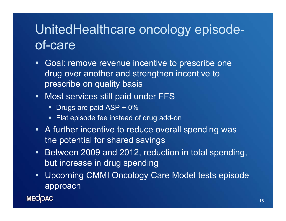# UnitedHealthcare oncology episodeof-care

- **Goal: remove revenue incentive to prescribe one** drug over another and strengthen incentive to prescribe on quality basis
- $\blacksquare$  Most services still paid under FFS
	- Drugs are paid ASP + 0%
	- **Fiat episode fee instead of drug add-on**
- **A** further incentive to reduce overall spending was the potential for shared savings
- **Between 2009 and 2012, reduction in total spending,** but increase in drug spending
- $\blacksquare$  Upcoming CMMI Oncology Care Model tests episode approach

**MECOAC**